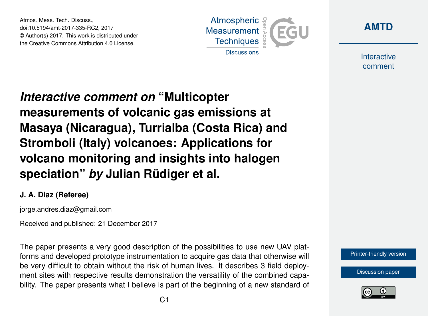Atmos. Meas. Tech. Discuss., doi:10.5194/amt-2017-335-RC2, 2017 © Author(s) 2017. This work is distributed under the Creative Commons Attribution 4.0 License.





Interactive comment

*Interactive comment on* **"Multicopter measurements of volcanic gas emissions at Masaya (Nicaragua), Turrialba (Costa Rica) and Stromboli (Italy) volcanoes: Applications for volcano monitoring and insights into halogen speciation"** *by* **Julian Rüdiger et al.**

## **J. A. Diaz (Referee)**

jorge.andres.diaz@gmail.com

Received and published: 21 December 2017

The paper presents a very good description of the possibilities to use new UAV platforms and developed prototype instrumentation to acquire gas data that otherwise will be very difficult to obtain without the risk of human lives. It describes 3 field deployment sites with respective results demonstration the versatility of the combined capability. The paper presents what I believe is part of the beginning of a new standard of



[Discussion paper](https://www.atmos-meas-tech-discuss.net/amt-2017-335)